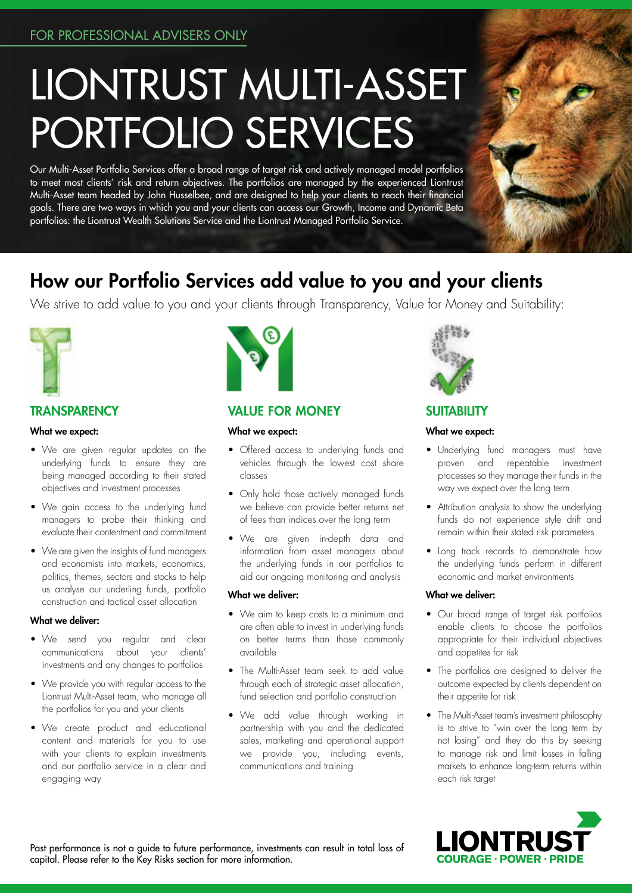# LIONTRUST MULTI-ASSET PORTFOLIO SERVICES

Our Multi-Asset Portfolio Services offer a broad range of target risk and actively managed model portfolios to meet most clients' risk and return objectives. The portfolios are managed by the experienced Liontrust Multi-Asset team headed by John Husselbee, and are designed to help your clients to reach their financial goals. There are two ways in which you and your clients can access our Growth, Income and Dynamic Beta portfolios: the Liontrust Wealth Solutions Service and the Liontrust Managed Portfolio Service.

# How our Portfolio Services add value to you and your clients

We strive to add value to you and your clients through Transparency, Value for Money and Suitability:



# **TRANSPARENCY**

#### What we expect:

- We are given regular updates on the underlying funds to ensure they are being managed according to their stated objectives and investment processes
- We gain access to the underlying fund managers to probe their thinking and evaluate their contentment and commitment
- We are given the insights of fund managers and economists into markets, economics, politics, themes, sectors and stocks to help us analyse our underling funds, portfolio construction and tactical asset allocation

# What we deliver:

- We send you regular and clear communications about your clients' investments and any changes to portfolios
- We provide you with regular access to the Liontrust Multi-Asset team, who manage all the portfolios for you and your clients
- We create product and educational content and materials for you to use with your clients to explain investments and our portfolio service in a clear and engaging way



# VALUE FOR MONEY

#### What we expect:

- Offered access to underlying funds and vehicles through the lowest cost share classes
- Only hold those actively managed funds we believe can provide better returns net of fees than indices over the long term
- We are given in-depth data and information from asset managers about the underlying funds in our portfolios to aid our ongoing monitoring and analysis

#### What we deliver:

- We aim to keep costs to a minimum and are often able to invest in underlying funds on better terms than those commonly available
- The Multi-Asset team seek to add value through each of strategic asset allocation, fund selection and portfolio construction
- We add value through working in partnership with you and the dedicated sales, marketing and operational support we provide you, including events, communications and training



# **SUITABILITY**

## What we expect:

- Underlying fund managers must have proven and repeatable investment processes so they manage their funds in the way we expect over the long term
- Attribution analysis to show the underlying funds do not experience style drift and remain within their stated risk parameters
- Long track records to demonstrate how the underlying funds perform in different economic and market environments

# What we deliver:

- Our broad range of target risk portfolios enable clients to choose the portfolios appropriate for their individual objectives and appetites for risk
- The portfolios are designed to deliver the outcome expected by clients dependent on their appetite for risk
- The Multi-Asset team's investment philosophy is to strive to "win over the long term by not losing" and they do this by seeking to manage risk and limit losses in falling markets to enhance long-term returns within each risk target



Past performance is not a guide to future performance, investments can result in total loss of capital. Please refer to the Key Risks section for more information.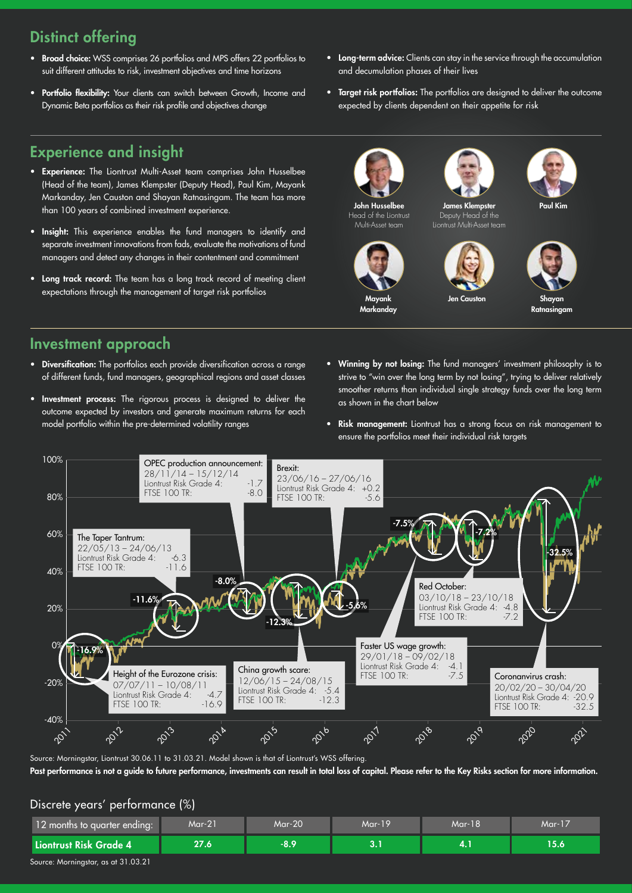# Distinct offering

- Broad choice: WSS comprises 26 portfolios and MPS offers 22 portfolios to suit different attitudes to risk, investment objectives and time horizons
- Portfolio flexibility: Your clients can switch between Growth, Income and Dynamic Beta portfolios as their risk profile and objectives change
- Long-term advice: Clients can stay in the service through the accumulation and decumulation phases of their lives
- Target risk portfolios: The portfolios are designed to deliver the outcome expected by clients dependent on their appetite for risk

# Experience and insight

- Experience: The Liontrust Multi-Asset team comprises John Husselbee (Head of the team), James Klempster (Deputy Head), Paul Kim, Mayank Markanday, Jen Causton and Shayan Ratnasingam. The team has more than 100 years of combined investment experience.
- Insight: This experience enables the fund managers to identify and separate investment innovations from fads, evaluate the motivations of fund managers and detect any changes in their contentment and commitment
- Long track record: The team has a long track record of meeting client expectations through the management of target risk portfolios



Mayank **Markanday** 





Paul Kim



Ratnasingam

# Investment approach

- Diversification: The portfolios each provide diversification across a range of different funds, fund managers, geographical regions and asset classes
- Investment process: The rigorous process is designed to deliver the outcome expected by investors and generate maximum returns for each model portfolio within the pre-determined volatility ranges
- Winning by not losing: The fund managers' investment philosophy is to strive to "win over the long term by not losing", trying to deliver relatively smoother returns than individual single strategy funds over the long term as shown in the chart below

Jen Causton

• Risk management: Liontrust has a strong focus on risk management to ensure the portfolios meet their individual risk targets



Source: Morningstar, Liontrust 30.06.11 to 31.03.21. Model shown is that of Liontrust's WSS offering. Past performance is not a guide to future performance, investments can result in total loss of capital. Please refer to the Key Risks section for more information.

# Discrete years' performance (%)

| 12 months to quarter ending: | $Mar-21$ | Mar-20 | $Mar-19$ | Mar-18 | $Mar-17$    |
|------------------------------|----------|--------|----------|--------|-------------|
| Liontrust Risk Grade 4       | 27.6     | $-8.9$ |          |        | <b>15.6</b> |

Source: Morningstar, as at 31.03.21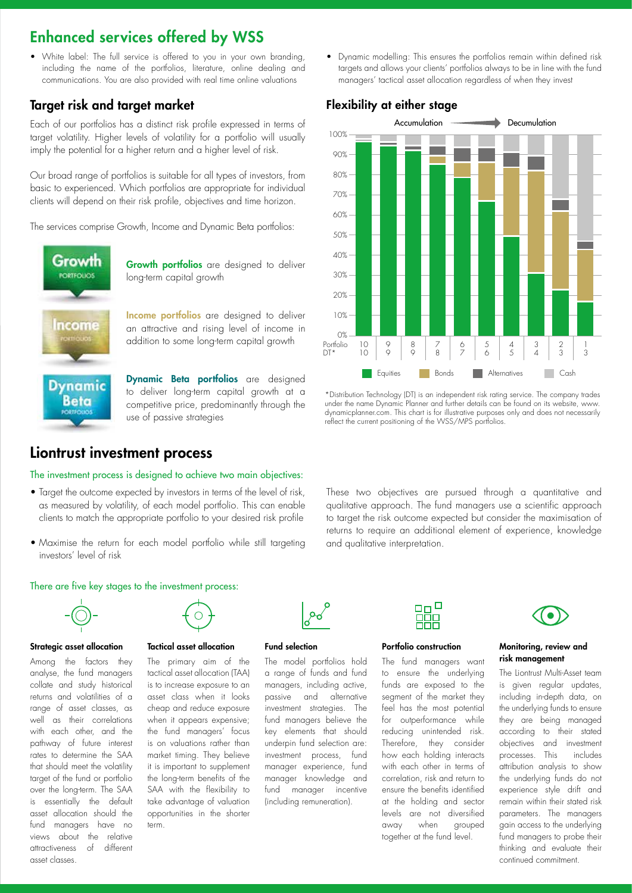# Enhanced services offered by WSS

• White label: The full service is offered to you in your own branding, including the name of the portfolios, literature, online dealing and communications. You are also provided with real time online valuations

# Target risk and target market

Each of our portfolios has a distinct risk profile expressed in terms of target volatility. Higher levels of volatility for a portfolio will usually imply the potential for a higher return and a higher level of risk.

Our broad range of portfolios is suitable for all types of investors, from basic to experienced. Which portfolios are appropriate for individual clients will depend on their risk profile, objectives and time horizon.

The services comprise Growth, Income and Dynamic Beta portfolios:



**Growth portfolios** are designed to deliver long-term capital growth

**Income portfolios** are designed to deliver an attractive and rising level of income in addition to some long-term capital growth

Dynamic Beta portfolios are designed to deliver long-term capital growth at a competitive price, predominantly through the use of passive strategies

# Liontrust investment process

#### The investment process is designed to achieve two main objectives:

- Target the outcome expected by investors in terms of the level of risk, as measured by volatility, of each model portfolio. This can enable clients to match the appropriate portfolio to your desired risk profile
- Maximise the return for each model portfolio while still targeting investors' level of risk



There are five key stages to the investment process:

#### Strategic asset allocation

Among the factors they analyse, the fund managers collate and study historical returns and volatilities of a range of asset classes, as well as their correlations with each other, and the pathway of future interest rates to determine the SAA that should meet the volatility target of the fund or portfolio over the long-term. The SAA is essentially the default asset allocation should the fund managers have no views about the relative attractiveness of different asset classes.



#### Tactical asset allocation

The primary aim of the tactical asset allocation (TAA) is to increase exposure to an asset class when it looks cheap and reduce exposure when it appears expensive; the fund managers' focus is on valuations rather than market timing. They believe it is important to supplement the long-term benefits of the SAA with the flexibility to take advantage of valuation opportunities in the shorter term.



#### Fund selection

The model portfolios hold a range of funds and fund managers, including active, passive and alternative investment strategies. The fund managers believe the key elements that should underpin fund selection are: investment process, fund manager experience, fund manager knowledge and fund manager incentive (including remuneration).



#### Portfolio construction

The fund managers want to ensure the underlying funds are exposed to the segment of the market they feel has the most potential for outperformance while reducing unintended risk. Therefore, they consider how each holding interacts with each other in terms of correlation, risk and return to ensure the benefits identified at the holding and sector levels are not diversified away when grouped together at the fund level.



#### Monitoring, review and risk management

The Liontrust Multi-Asset team is given regular updates, including in-depth data, on the underlying funds to ensure they are being managed according to their stated objectives and investment processes. This includes attribution analysis to show the underlying funds do not experience style drift and remain within their stated risk parameters. The managers gain access to the underlying fund managers to probe their thinking and evaluate their continued commitment.

• Dynamic modelling: This ensures the portfolios remain within defined risk targets and allows your clients' portfolios always to be in line with the fund managers' tactical asset allocation regardless of when they invest





\*Distribution Technology (DT) is an independent risk rating service. The company trades under the name Dynamic Planner and further details can be found on its website, www. dynamicplanner.com. This chart is for illustrative purposes only and does not necessarily reflect the current positioning of the WSS/MPS portfolios.

These two objectives are pursued through a quantitative and qualitative approach. The fund managers use a scientific approach to target the risk outcome expected but consider the maximisation of returns to require an additional element of experience, knowledge and qualitative interpretation.